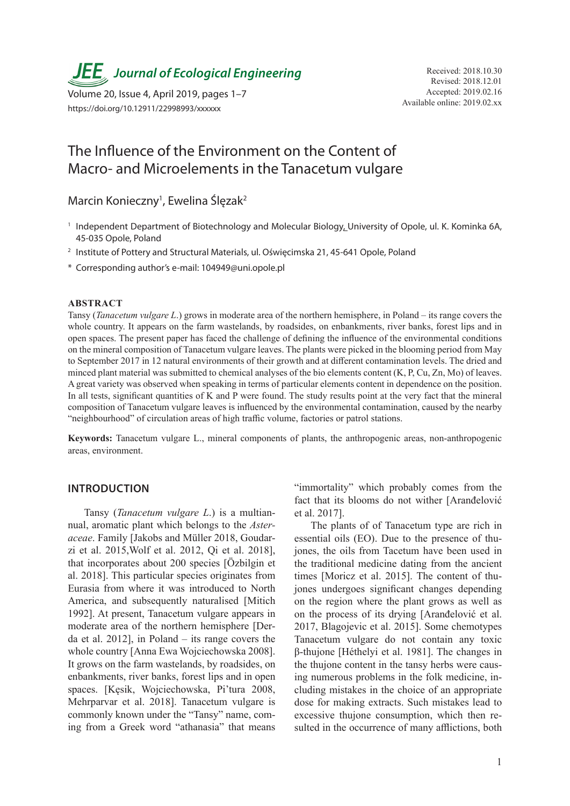*JEE* Journal of Ecological Engineering Received: 2018.10.30

Available online: 2019.02.xx Volume 20, Issue 4, April 2019, pages 1–7 https://doi.org/10.12911/22998993/xxxxxx

## The Influence of the Environment on the Content of Macro- and Microelements in the Tanacetum vulgare

Marcin Konieczny<sup>1</sup>, Ewelina Ślęzak<sup>2</sup>

- <sup>1</sup> Independent Department of Biotechnology and Molecular Biology, University of Opole, ul. K. Kominka 6A, 45-035 Opole, Poland
- <sup>2</sup> Institute of Pottery and Structural Materials, ul. Oświęcimska 21, 45-641 Opole, Poland
- \* Corresponding author's e-mail: 104949@uni.opole.pl

## **ABSTRACT**

Tansy (*Tanacetum vulgare L*.) grows in moderate area of the northern hemisphere, in Poland – its range covers the whole country. It appears on the farm wastelands, by roadsides, on enbankments, river banks, forest lips and in open spaces. The present paper has faced the challenge of defining the influence of the environmental conditions on the mineral composition of Tanacetum vulgare leaves. The plants were picked in the blooming period from May to September 2017 in 12 natural environments of their growth and at different contamination levels. The dried and minced plant material was submitted to chemical analyses of the bio elements content (K, P, Cu, Zn, Mo) of leaves. A great variety was observed when speaking in terms of particular elements content in dependence on the position. In all tests, significant quantities of K and P were found. The study results point at the very fact that the mineral composition of Tanacetum vulgare leaves is influenced by the environmental contamination, caused by the nearby "neighbourhood" of circulation areas of high traffic volume, factories or patrol stations.

**Keywords:** Tanacetum vulgare L., mineral components of plants, the anthropogenic areas, non-anthropogenic areas, environment.

## **INTRODUCTION**

Tansy (*Tanacetum vulgare L*.) is a multiannual, aromatic plant which belongs to the *Asteraceae*. Family [Jakobs and Müller 2018, Goudarzi et al. 2015,Wolf et al. 2012, Qi et al. 2018], that incorporates about 200 species [Özbilgin et al. 2018]. This particular species originates from Eurasia from where it was introduced to North America, and subsequently naturalised [Mitich 1992]. At present, Tanacetum vulgare appears in moderate area of the northern hemisphere [Derda et al. 2012], in Poland – its range covers the whole country [Anna Ewa Wojciechowska 2008]. It grows on the farm wastelands, by roadsides, on enbankments, river banks, forest lips and in open spaces. [Kęsik, Wojciechowska, Pi'tura 2008, Mehrparvar et al. 2018]. Tanacetum vulgare is commonly known under the "Tansy" name, coming from a Greek word "athanasia" that means

"immortality" which probably comes from the fact that its blooms do not wither [Aranđelović et al. 2017].

The plants of of Tanacetum type are rich in essential oils (EO). Due to the presence of thujones, the oils from Tacetum have been used in the traditional medicine dating from the ancient times [Moricz et al. 2015]. The content of thujones undergoes significant changes depending on the region where the plant grows as well as on the process of its drying [Aranđelović et al. 2017, Blagojevic et al. 2015]. Some chemotypes Tanacetum vulgare do not contain any toxic β-thujone [Héthelyi et al. 1981]. The changes in the thujone content in the tansy herbs were causing numerous problems in the folk medicine, including mistakes in the choice of an appropriate dose for making extracts. Such mistakes lead to excessive thujone consumption, which then resulted in the occurrence of many afflictions, both